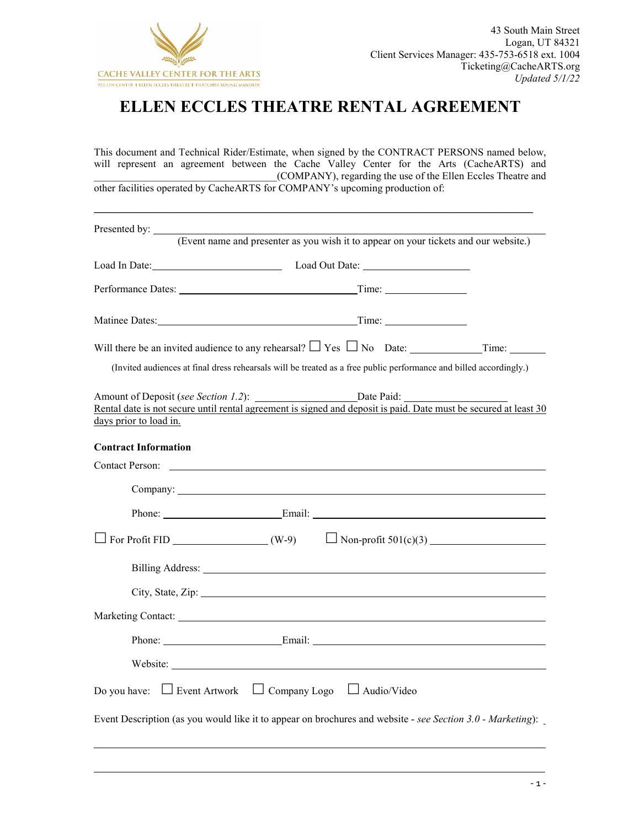

# **ELLEN ECCLES THEATRE RENTAL AGREEMENT**

This document and Technical Rider/Estimate, when signed by the CONTRACT PERSONS named below, will represent an agreement between the Cache Valley Center for the Arts (CacheARTS) and \_\_\_\_\_\_\_\_\_\_\_\_\_\_\_\_\_\_\_\_\_\_\_\_\_\_\_\_\_\_\_\_\_\_\_(COMPANY), regarding the use of the Ellen Eccles Theatre and other facilities operated by CacheARTS for COMPANY's upcoming production of:

|                                                                                                                                                                                                                                | (Event name and presenter as you wish it to appear on your tickets and our website.)<br>Load In Date: Load Out Date: Load Out Date: |  |
|--------------------------------------------------------------------------------------------------------------------------------------------------------------------------------------------------------------------------------|-------------------------------------------------------------------------------------------------------------------------------------|--|
|                                                                                                                                                                                                                                |                                                                                                                                     |  |
|                                                                                                                                                                                                                                |                                                                                                                                     |  |
|                                                                                                                                                                                                                                |                                                                                                                                     |  |
| (Invited audiences at final dress rehearsals will be treated as a free public performance and billed accordingly.)                                                                                                             |                                                                                                                                     |  |
| days prior to load in.                                                                                                                                                                                                         |                                                                                                                                     |  |
| <b>Contract Information</b>                                                                                                                                                                                                    |                                                                                                                                     |  |
| <b>Contact Person:</b> Contact Person:                                                                                                                                                                                         |                                                                                                                                     |  |
|                                                                                                                                                                                                                                |                                                                                                                                     |  |
|                                                                                                                                                                                                                                |                                                                                                                                     |  |
| $\Box$ For Profit FID $(W-9)$ $\Box$ Non-profit 501(c)(3)                                                                                                                                                                      |                                                                                                                                     |  |
|                                                                                                                                                                                                                                |                                                                                                                                     |  |
| City, State, Zip: 2008. Experience of the State of Table 1. The State of Table 1. The State of Table 1. The State of Table 1. The State of Table 1. The State of Table 1. The State of Table 1. The State of Table 1. The Stat |                                                                                                                                     |  |
| Marketing Contact: National Contract:                                                                                                                                                                                          |                                                                                                                                     |  |
|                                                                                                                                                                                                                                |                                                                                                                                     |  |
|                                                                                                                                                                                                                                |                                                                                                                                     |  |
| $\Box$ Event Artwork $\Box$ Company Logo<br>Do you have:                                                                                                                                                                       | $\Box$ Audio/Video                                                                                                                  |  |
| Event Description (as you would like it to appear on brochures and website - see Section 3.0 - Marketing):                                                                                                                     |                                                                                                                                     |  |

l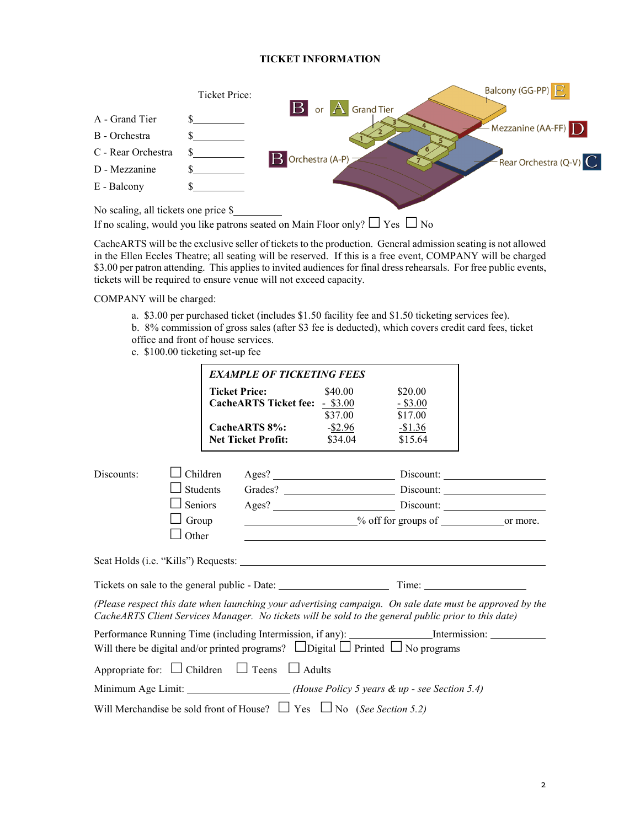# **TICKET INFORMATION**



If no scaling, would you like patrons seated on Main Floor only?  $\Box$  Yes  $\Box$  No

CacheARTS will be the exclusive seller of tickets to the production. General admission seating is not allowed in the Ellen Eccles Theatre; all seating will be reserved. If this is a free event, COMPANY will be charged \$3.00 per patron attending. This applies to invited audiences for final dress rehearsals. For free public events, tickets will be required to ensure venue will not exceed capacity.

COMPANY will be charged:

- a. \$3.00 per purchased ticket (includes \$1.50 facility fee and \$1.50 ticketing services fee).
- b. 8% commission of gross sales (after \$3 fee is deducted), which covers credit card fees, ticket office and front of house services.
- c. \$100.00 ticketing set-up fee

| <b>EXAMPLE OF TICKETING FEES</b> |                                                                                 |                                                               |                    |                                                                                                      |                                                                                                          |
|----------------------------------|---------------------------------------------------------------------------------|---------------------------------------------------------------|--------------------|------------------------------------------------------------------------------------------------------|----------------------------------------------------------------------------------------------------------|
|                                  |                                                                                 | <b>Ticket Price:</b><br><b>CacheARTS Ticket fee: - \$3.00</b> | \$40.00<br>\$37.00 | \$20.00<br>$-$ \$3.00<br>\$17.00                                                                     |                                                                                                          |
|                                  |                                                                                 | CacheARTS 8%:<br><b>Net Ticket Profit:</b>                    | -\$2.96<br>\$34.04 | $-\$1.36$<br>\$15.64                                                                                 |                                                                                                          |
| Discounts:                       | Children                                                                        |                                                               |                    |                                                                                                      |                                                                                                          |
|                                  | <b>Students</b>                                                                 |                                                               |                    |                                                                                                      |                                                                                                          |
|                                  | Seniors                                                                         |                                                               |                    |                                                                                                      |                                                                                                          |
|                                  | Group                                                                           | <sup>o</sup> % off for groups of <u>containing</u> or more.   |                    |                                                                                                      |                                                                                                          |
|                                  | Other                                                                           |                                                               |                    |                                                                                                      |                                                                                                          |
|                                  |                                                                                 |                                                               |                    |                                                                                                      |                                                                                                          |
|                                  |                                                                                 |                                                               |                    |                                                                                                      |                                                                                                          |
|                                  |                                                                                 |                                                               |                    | CacheARTS Client Services Manager. No tickets will be sold to the general public prior to this date) | (Please respect this date when launching your advertising campaign. On sale date must be approved by the |
|                                  |                                                                                 |                                                               |                    | Will there be digital and/or printed programs? $\Box$ Digital $\Box$ Printed $\Box$ No programs      | Performance Running Time (including Intermission, if any): ___________________Intermission: ________     |
|                                  | Appropriate for: $\Box$ Children $\Box$ Teens $\Box$ Adults                     |                                                               |                    |                                                                                                      |                                                                                                          |
|                                  |                                                                                 |                                                               |                    | Minimum Age Limit: ___________________(House Policy 5 years & up - see Section 5.4)                  |                                                                                                          |
|                                  | Will Merchandise be sold front of House? $\Box$ Yes $\Box$ No (See Section 5.2) |                                                               |                    |                                                                                                      |                                                                                                          |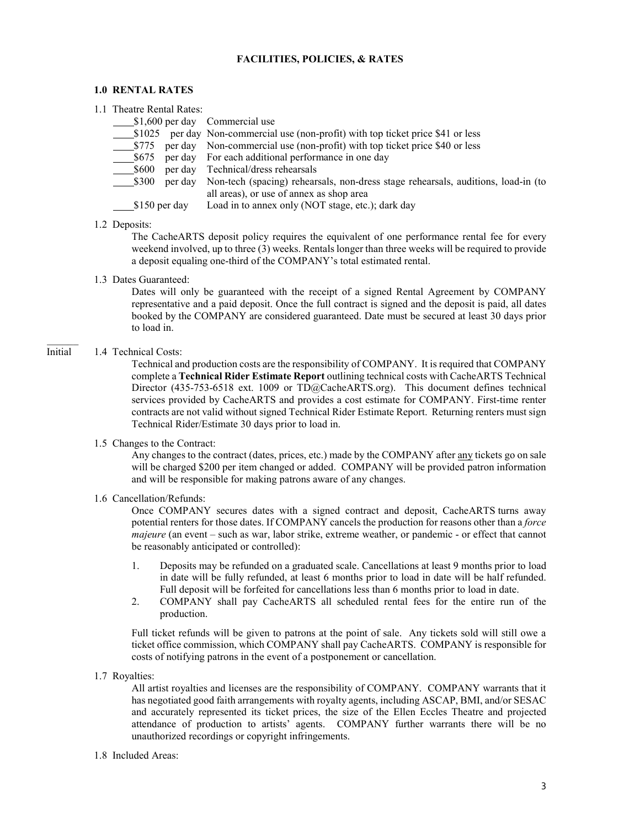## **FACILITIES, POLICIES, & RATES**

#### **1.0 RENTAL RATES**

| 1.1 Theatre Rental Rates: |                                                                                   |
|---------------------------|-----------------------------------------------------------------------------------|
|                           | $\frac{\$1,600 \text{ per day}}{\$}$ Commercial use                               |
|                           | \$1025 per day Non-commercial use (non-profit) with top ticket price \$41 or less |
|                           | \$775 per day Non-commercial use (non-profit) with top ticket price \$40 or less  |
|                           |                                                                                   |
|                           |                                                                                   |

- \$600 per day Technical/dress rehearsals
	- \$300 per day Non-tech (spacing) rehearsals, non-dress stage rehearsals, auditions, load-in (to all areas), or use of annex as shop area

\$150 per day Load in to annex only (NOT stage, etc.); dark day

## 1.2 Deposits:

The CacheARTS deposit policy requires the equivalent of one performance rental fee for every weekend involved, up to three (3) weeks. Rentals longer than three weeks will be required to provide a deposit equaling one-third of the COMPANY's total estimated rental.

1.3 Dates Guaranteed:

Dates will only be guaranteed with the receipt of a signed Rental Agreement by COMPANY representative and a paid deposit. Once the full contract is signed and the deposit is paid, all dates booked by the COMPANY are considered guaranteed. Date must be secured at least 30 days prior to load in.

## Initial 1.4 Technical Costs:

 $\mathcal{L}=\mathcal{L}$ 

Technical and production costs are the responsibility of COMPANY. It is required that COMPANY complete a **Technical Rider Estimate Report** outlining technical costs with CacheARTS Technical Director (435-753-6518 ext. 1009 or TD@CacheARTS.org). This document defines technical services provided by CacheARTS and provides a cost estimate for COMPANY. First-time renter contracts are not valid without signed Technical Rider Estimate Report. Returning renters must sign Technical Rider/Estimate 30 days prior to load in.

1.5 Changes to the Contract:

Any changes to the contract (dates, prices, etc.) made by the COMPANY after any tickets go on sale will be charged \$200 per item changed or added. COMPANY will be provided patron information and will be responsible for making patrons aware of any changes.

# 1.6 Cancellation/Refunds:

Once COMPANY secures dates with a signed contract and deposit, CacheARTS turns away potential renters for those dates. If COMPANY cancels the production for reasons other than a *force majeure* (an event – such as war, labor strike, extreme weather, or pandemic - or effect that cannot be reasonably anticipated or controlled):

- 1. Deposits may be refunded on a graduated scale. Cancellations at least 9 months prior to load in date will be fully refunded, at least 6 months prior to load in date will be half refunded. Full deposit will be forfeited for cancellations less than 6 months prior to load in date.
- 2. COMPANY shall pay CacheARTS all scheduled rental fees for the entire run of the production.

Full ticket refunds will be given to patrons at the point of sale. Any tickets sold will still owe a ticket office commission, which COMPANY shall pay CacheARTS. COMPANY is responsible for costs of notifying patrons in the event of a postponement or cancellation.

## 1.7 Royalties:

All artist royalties and licenses are the responsibility of COMPANY. COMPANY warrants that it has negotiated good faith arrangements with royalty agents, including ASCAP, BMI, and/or SESAC and accurately represented its ticket prices, the size of the Ellen Eccles Theatre and projected attendance of production to artists' agents. COMPANY further warrants there will be no unauthorized recordings or copyright infringements.

## 1.8 Included Areas: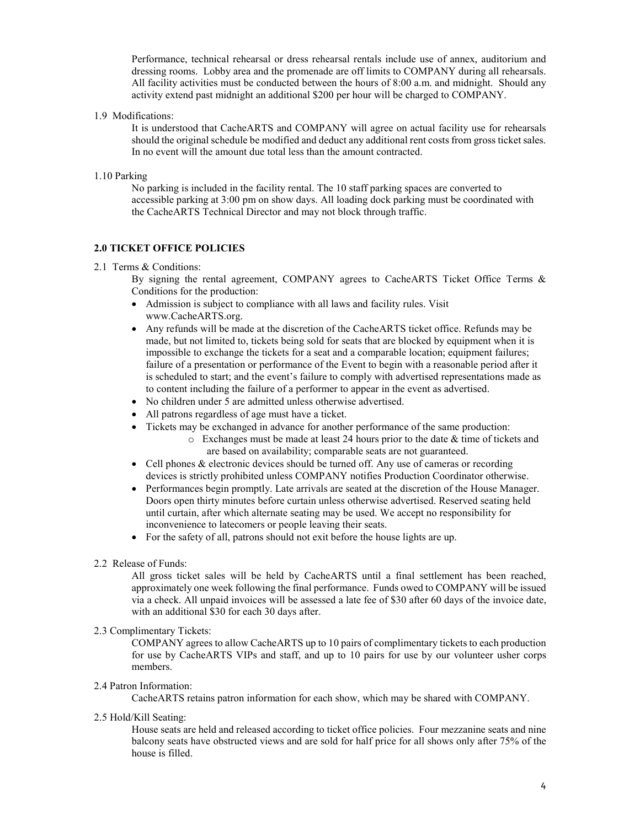Performance, technical rehearsal or dress rehearsal rentals include use of annex, auditorium and dressing rooms. Lobby area and the promenade are off limits to COMPANY during all rehearsals. All facility activities must be conducted between the hours of 8:00 a.m. and midnight. Should any activity extend past midnight an additional \$200 per hour will be charged to COMPANY.

1.9 Modifications:

It is understood that CacheARTS and COMPANY will agree on actual facility use for rehearsals should the original schedule be modified and deduct any additional rent costs from gross ticket sales. In no event will the amount due total less than the amount contracted.

1.10 Parking

No parking is included in the facility rental. The 10 staff parking spaces are converted to accessible parking at 3:00 pm on show days. All loading dock parking must be coordinated with the CacheARTS Technical Director and may not block through traffic.

# **2.0 TICKET OFFICE POLICIES**

## 2.1 Terms & Conditions:

By signing the rental agreement, COMPANY agrees to CacheARTS Ticket Office Terms & Conditions for the production:

- Admission is subject to compliance with all laws and facility rules. Visit www.CacheARTS.org.
- Any refunds will be made at the discretion of the CacheARTS ticket office. Refunds may be made, but not limited to, tickets being sold for seats that are blocked by equipment when it is impossible to exchange the tickets for a seat and a comparable location; equipment failures; failure of a presentation or performance of the Event to begin with a reasonable period after it is scheduled to start; and the event's failure to comply with advertised representations made as to content including the failure of a performer to appear in the event as advertised.
- No children under 5 are admitted unless otherwise advertised.
- All patrons regardless of age must have a ticket.
- Tickets may be exchanged in advance for another performance of the same production:
	- o Exchanges must be made at least 24 hours prior to the date & time of tickets and are based on availability; comparable seats are not guaranteed.
- Cell phones & electronic devices should be turned off. Any use of cameras or recording devices is strictly prohibited unless COMPANY notifies Production Coordinator otherwise.
- Performances begin promptly. Late arrivals are seated at the discretion of the House Manager. Doors open thirty minutes before curtain unless otherwise advertised. Reserved seating held until curtain, after which alternate seating may be used. We accept no responsibility for inconvenience to latecomers or people leaving their seats.
- For the safety of all, patrons should not exit before the house lights are up.
- 2.2 Release of Funds:

All gross ticket sales will be held by CacheARTS until a final settlement has been reached, approximately one week following the final performance. Funds owed to COMPANY will be issued via a check. All unpaid invoices will be assessed a late fee of \$30 after 60 days of the invoice date, with an additional \$30 for each 30 days after.

# 2.3 Complimentary Tickets:

COMPANY agrees to allow CacheARTS up to 10 pairs of complimentary tickets to each production for use by CacheARTS VIPs and staff, and up to 10 pairs for use by our volunteer usher corps members.

# 2.4 Patron Information:

CacheARTS retains patron information for each show, which may be shared with COMPANY.

2.5 Hold/Kill Seating:

House seats are held and released according to ticket office policies. Four mezzanine seats and nine balcony seats have obstructed views and are sold for half price for all shows only after 75% of the house is filled.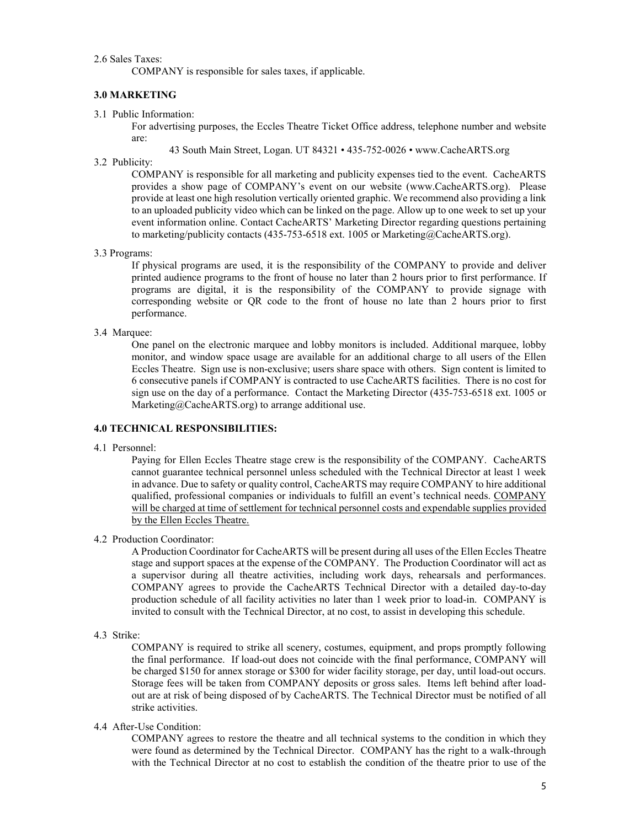2.6 Sales Taxes:

COMPANY is responsible for sales taxes, if applicable.

#### **3.0 MARKETING**

3.1 Public Information:

For advertising purposes, the Eccles Theatre Ticket Office address, telephone number and website are:

43 South Main Street, Logan. UT 84321 • 435-752-0026 • www.CacheARTS.org

3.2 Publicity:

COMPANY is responsible for all marketing and publicity expenses tied to the event. CacheARTS provides a show page of COMPANY's event on our website (www.CacheARTS.org). Please provide at least one high resolution vertically oriented graphic. We recommend also providing a link to an uploaded publicity video which can be linked on the page. Allow up to one week to set up your event information online. Contact CacheARTS' Marketing Director regarding questions pertaining to marketing/publicity contacts (435-753-6518 ext. 1005 or Marketing@CacheARTS.org).

3.3 Programs:

If physical programs are used, it is the responsibility of the COMPANY to provide and deliver printed audience programs to the front of house no later than 2 hours prior to first performance. If programs are digital, it is the responsibility of the COMPANY to provide signage with corresponding website or QR code to the front of house no late than 2 hours prior to first performance.

#### 3.4 Marquee:

One panel on the electronic marquee and lobby monitors is included. Additional marquee, lobby monitor, and window space usage are available for an additional charge to all users of the Ellen Eccles Theatre. Sign use is non-exclusive; users share space with others. Sign content is limited to 6 consecutive panels if COMPANY is contracted to use CacheARTS facilities. There is no cost for sign use on the day of a performance. Contact the Marketing Director (435-753-6518 ext. 1005 or Marketing@CacheARTS.org) to arrange additional use.

## **4.0 TECHNICAL RESPONSIBILITIES:**

4.1 Personnel:

Paying for Ellen Eccles Theatre stage crew is the responsibility of the COMPANY. CacheARTS cannot guarantee technical personnel unless scheduled with the Technical Director at least 1 week in advance. Due to safety or quality control, CacheARTS may require COMPANY to hire additional qualified, professional companies or individuals to fulfill an event's technical needs. COMPANY will be charged at time of settlement for technical personnel costs and expendable supplies provided by the Ellen Eccles Theatre.

## 4.2 Production Coordinator:

A Production Coordinator for CacheARTS will be present during all uses of the Ellen Eccles Theatre stage and support spaces at the expense of the COMPANY. The Production Coordinator will act as a supervisor during all theatre activities, including work days, rehearsals and performances. COMPANY agrees to provide the CacheARTS Technical Director with a detailed day-to-day production schedule of all facility activities no later than 1 week prior to load-in. COMPANY is invited to consult with the Technical Director, at no cost, to assist in developing this schedule.

4.3 Strike:

COMPANY is required to strike all scenery, costumes, equipment, and props promptly following the final performance. If load-out does not coincide with the final performance, COMPANY will be charged \$150 for annex storage or \$300 for wider facility storage, per day, until load-out occurs. Storage fees will be taken from COMPANY deposits or gross sales. Items left behind after loadout are at risk of being disposed of by CacheARTS. The Technical Director must be notified of all strike activities.

## 4.4 After-Use Condition:

COMPANY agrees to restore the theatre and all technical systems to the condition in which they were found as determined by the Technical Director. COMPANY has the right to a walk-through with the Technical Director at no cost to establish the condition of the theatre prior to use of the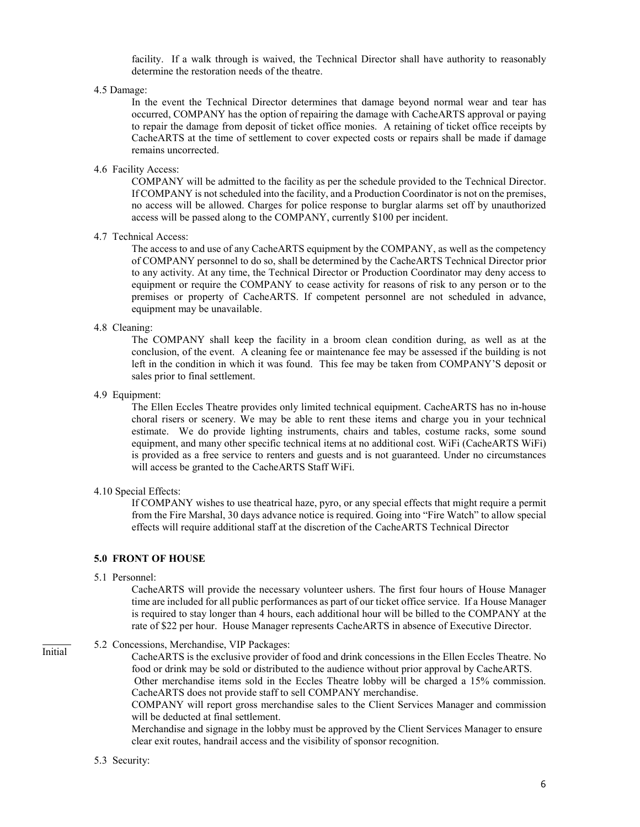facility. If a walk through is waived, the Technical Director shall have authority to reasonably determine the restoration needs of the theatre.

4.5 Damage:

In the event the Technical Director determines that damage beyond normal wear and tear has occurred, COMPANY has the option of repairing the damage with CacheARTS approval or paying to repair the damage from deposit of ticket office monies. A retaining of ticket office receipts by CacheARTS at the time of settlement to cover expected costs or repairs shall be made if damage remains uncorrected.

4.6 Facility Access:

COMPANY will be admitted to the facility as per the schedule provided to the Technical Director. If COMPANY is not scheduled into the facility, and a Production Coordinator is not on the premises, no access will be allowed. Charges for police response to burglar alarms set off by unauthorized access will be passed along to the COMPANY, currently \$100 per incident.

#### 4.7 Technical Access:

The access to and use of any CacheARTS equipment by the COMPANY, as well as the competency of COMPANY personnel to do so, shall be determined by the CacheARTS Technical Director prior to any activity. At any time, the Technical Director or Production Coordinator may deny access to equipment or require the COMPANY to cease activity for reasons of risk to any person or to the premises or property of CacheARTS. If competent personnel are not scheduled in advance, equipment may be unavailable.

#### 4.8 Cleaning:

The COMPANY shall keep the facility in a broom clean condition during, as well as at the conclusion, of the event. A cleaning fee or maintenance fee may be assessed if the building is not left in the condition in which it was found. This fee may be taken from COMPANY'S deposit or sales prior to final settlement.

4.9 Equipment:

The Ellen Eccles Theatre provides only limited technical equipment. CacheARTS has no in-house choral risers or scenery. We may be able to rent these items and charge you in your technical estimate. We do provide lighting instruments, chairs and tables, costume racks, some sound equipment, and many other specific technical items at no additional cost. WiFi (CacheARTS WiFi) is provided as a free service to renters and guests and is not guaranteed. Under no circumstances will access be granted to the CacheARTS Staff WiFi.

#### 4.10 Special Effects:

If COMPANY wishes to use theatrical haze, pyro, or any special effects that might require a permit from the Fire Marshal, 30 days advance notice is required. Going into "Fire Watch" to allow special effects will require additional staff at the discretion of the CacheARTS Technical Director

## **5.0 FRONT OF HOUSE**

5.1 Personnel:

CacheARTS will provide the necessary volunteer ushers. The first four hours of House Manager time are included for all public performances as part of our ticket office service. If a House Manager is required to stay longer than 4 hours, each additional hour will be billed to the COMPANY at the rate of \$22 per hour. House Manager represents CacheARTS in absence of Executive Director.

## 5.2 Concessions, Merchandise, VIP Packages:

CacheARTS is the exclusive provider of food and drink concessions in the Ellen Eccles Theatre. No food or drink may be sold or distributed to the audience without prior approval by CacheARTS. Other merchandise items sold in the Eccles Theatre lobby will be charged a 15% commission. CacheARTS does not provide staff to sell COMPANY merchandise.

COMPANY will report gross merchandise sales to the Client Services Manager and commission will be deducted at final settlement.

Merchandise and signage in the lobby must be approved by the Client Services Manager to ensure clear exit routes, handrail access and the visibility of sponsor recognition.

#### 5.3 Security:

l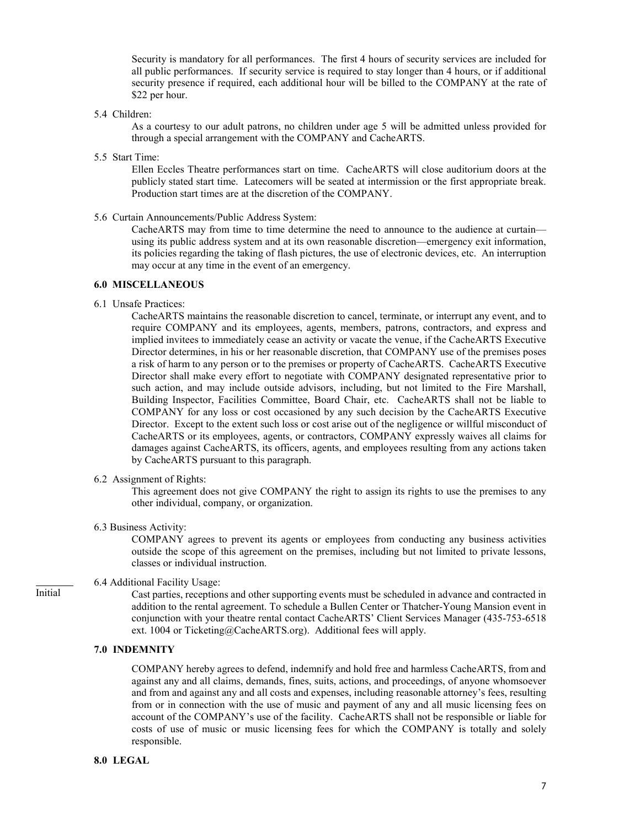Security is mandatory for all performances. The first 4 hours of security services are included for all public performances. If security service is required to stay longer than 4 hours, or if additional security presence if required, each additional hour will be billed to the COMPANY at the rate of \$22 per hour.

5.4 Children:

As a courtesy to our adult patrons, no children under age 5 will be admitted unless provided for through a special arrangement with the COMPANY and CacheARTS.

5.5 Start Time:

Ellen Eccles Theatre performances start on time. CacheARTS will close auditorium doors at the publicly stated start time. Latecomers will be seated at intermission or the first appropriate break. Production start times are at the discretion of the COMPANY.

5.6 Curtain Announcements/Public Address System:

CacheARTS may from time to time determine the need to announce to the audience at curtain using its public address system and at its own reasonable discretion—emergency exit information, its policies regarding the taking of flash pictures, the use of electronic devices, etc. An interruption may occur at any time in the event of an emergency.

## **6.0 MISCELLANEOUS**

6.1 Unsafe Practices:

CacheARTS maintains the reasonable discretion to cancel, terminate, or interrupt any event, and to require COMPANY and its employees, agents, members, patrons, contractors, and express and implied invitees to immediately cease an activity or vacate the venue, if the CacheARTS Executive Director determines, in his or her reasonable discretion, that COMPANY use of the premises poses a risk of harm to any person or to the premises or property of CacheARTS. CacheARTS Executive Director shall make every effort to negotiate with COMPANY designated representative prior to such action, and may include outside advisors, including, but not limited to the Fire Marshall, Building Inspector, Facilities Committee, Board Chair, etc. CacheARTS shall not be liable to COMPANY for any loss or cost occasioned by any such decision by the CacheARTS Executive Director. Except to the extent such loss or cost arise out of the negligence or willful misconduct of CacheARTS or its employees, agents, or contractors, COMPANY expressly waives all claims for damages against CacheARTS, its officers, agents, and employees resulting from any actions taken by CacheARTS pursuant to this paragraph.

6.2 Assignment of Rights:

This agreement does not give COMPANY the right to assign its rights to use the premises to any other individual, company, or organization.

6.3 Business Activity:

COMPANY agrees to prevent its agents or employees from conducting any business activities outside the scope of this agreement on the premises, including but not limited to private lessons, classes or individual instruction.

## 6.4 Additional Facility Usage:

Cast parties, receptions and other supporting events must be scheduled in advance and contracted in addition to the rental agreement. To schedule a Bullen Center or Thatcher-Young Mansion event in conjunction with your theatre rental contact CacheARTS' Client Services Manager (435-753-6518 ext. 1004 or Ticketing@CacheARTS.org). Additional fees will apply.

# **7.0 INDEMNITY**

COMPANY hereby agrees to defend, indemnify and hold free and harmless CacheARTS, from and against any and all claims, demands, fines, suits, actions, and proceedings, of anyone whomsoever and from and against any and all costs and expenses, including reasonable attorney's fees, resulting from or in connection with the use of music and payment of any and all music licensing fees on account of the COMPANY's use of the facility. CacheARTS shall not be responsible or liable for costs of use of music or music licensing fees for which the COMPANY is totally and solely responsible.

## **8.0 LEGAL**

Initial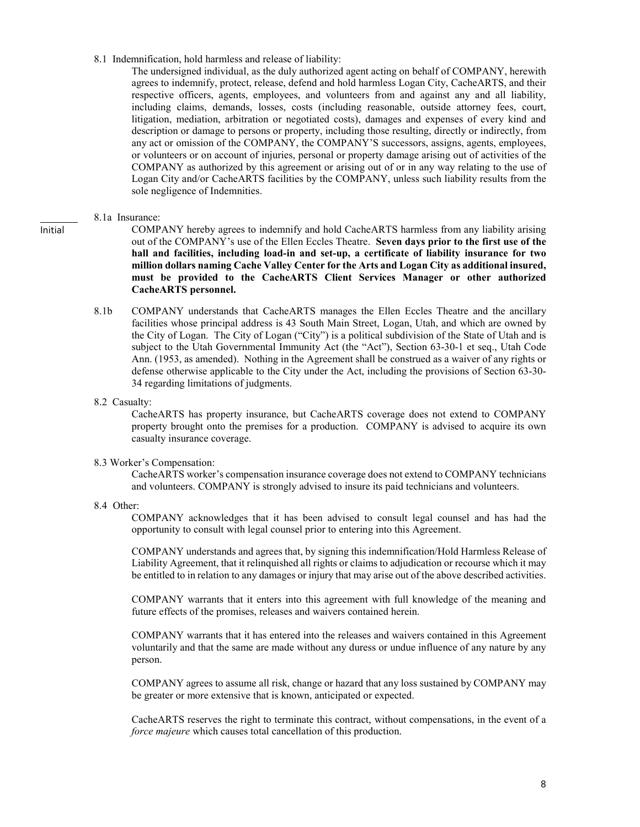8.1 Indemnification, hold harmless and release of liability:

The undersigned individual, as the duly authorized agent acting on behalf of COMPANY, herewith agrees to indemnify, protect, release, defend and hold harmless Logan City, CacheARTS, and their respective officers, agents, employees, and volunteers from and against any and all liability, including claims, demands, losses, costs (including reasonable, outside attorney fees, court, litigation, mediation, arbitration or negotiated costs), damages and expenses of every kind and description or damage to persons or property, including those resulting, directly or indirectly, from any act or omission of the COMPANY, the COMPANY'S successors, assigns, agents, employees, or volunteers or on account of injuries, personal or property damage arising out of activities of the COMPANY as authorized by this agreement or arising out of or in any way relating to the use of Logan City and/or CacheARTS facilities by the COMPANY, unless such liability results from the sole negligence of Indemnities.

#### 8.1a Insurance:

COMPANY hereby agrees to indemnify and hold CacheARTS harmless from any liability arising out of the COMPANY's use of the Ellen Eccles Theatre. **Seven days prior to the first use of the hall and facilities, including load-in and set-up, a certificate of liability insurance for two million dollars naming Cache Valley Center for the Arts and Logan City as additional insured, must be provided to the CacheARTS Client Services Manager or other authorized CacheARTS personnel.**

- 8.1b COMPANY understands that CacheARTS manages the Ellen Eccles Theatre and the ancillary facilities whose principal address is 43 South Main Street, Logan, Utah, and which are owned by the City of Logan. The City of Logan ("City") is a political subdivision of the State of Utah and is subject to the Utah Governmental Immunity Act (the "Act"), Section 63-30-1 et seq., Utah Code Ann. (1953, as amended). Nothing in the Agreement shall be construed as a waiver of any rights or defense otherwise applicable to the City under the Act, including the provisions of Section 63-30- 34 regarding limitations of judgments.
- 8.2 Casualty:

CacheARTS has property insurance, but CacheARTS coverage does not extend to COMPANY property brought onto the premises for a production. COMPANY is advised to acquire its own casualty insurance coverage.

#### 8.3 Worker's Compensation:

CacheARTS worker's compensation insurance coverage does not extend to COMPANY technicians and volunteers. COMPANY is strongly advised to insure its paid technicians and volunteers.

8.4 Other:

COMPANY acknowledges that it has been advised to consult legal counsel and has had the opportunity to consult with legal counsel prior to entering into this Agreement.

COMPANY understands and agrees that, by signing this indemnification/Hold Harmless Release of Liability Agreement, that it relinquished all rights or claims to adjudication or recourse which it may be entitled to in relation to any damages or injury that may arise out of the above described activities.

COMPANY warrants that it enters into this agreement with full knowledge of the meaning and future effects of the promises, releases and waivers contained herein.

COMPANY warrants that it has entered into the releases and waivers contained in this Agreement voluntarily and that the same are made without any duress or undue influence of any nature by any person.

COMPANY agrees to assume all risk, change or hazard that any loss sustained by COMPANY may be greater or more extensive that is known, anticipated or expected.

CacheARTS reserves the right to terminate this contract, without compensations, in the event of a *force majeure* which causes total cancellation of this production.

Initial